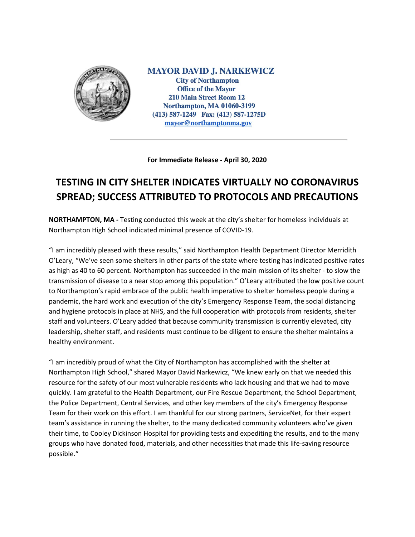

**MAYOR DAVID J. NARKEWICZ City of Northampton Office of the Mayor 210 Main Street Room 12 Northampton, MA 01060-3199** (413) 587-1249 Fax: (413) 587-1275D mayor@northamptonma.gov

**For Immediate Release - April 30, 2020**

## **TESTING IN CITY SHELTER INDICATES VIRTUALLY NO CORONAVIRUS SPREAD; SUCCESS ATTRIBUTED TO PROTOCOLS AND PRECAUTIONS**

**NORTHAMPTON, MA -** Testing conducted this week at the city's shelter for homeless individuals at Northampton High School indicated minimal presence of COVID-19.

"I am incredibly pleased with these results," said Northampton Health Department Director Merridith O'Leary, "We've seen some shelters in other parts of the state where testing has indicated positive rates as high as 40 to 60 percent. Northampton has succeeded in the main mission of its shelter - to slow the transmission of disease to a near stop among this population." O'Leary attributed the low positive count to Northampton's rapid embrace of the public health imperative to shelter homeless people during a pandemic, the hard work and execution of the city's Emergency Response Team, the social distancing and hygiene protocols in place at NHS, and the full cooperation with protocols from residents, shelter staff and volunteers. O'Leary added that because community transmission is currently elevated, city leadership, shelter staff, and residents must continue to be diligent to ensure the shelter maintains a healthy environment.

"I am incredibly proud of what the City of Northampton has accomplished with the shelter at Northampton High School," shared Mayor David Narkewicz, "We knew early on that we needed this resource for the safety of our most vulnerable residents who lack housing and that we had to move quickly. I am grateful to the Health Department, our Fire Rescue Department, the School Department, the Police Department, Central Services, and other key members of the city's Emergency Response Team for their work on this effort. I am thankful for our strong partners, ServiceNet, for their expert team's assistance in running the shelter, to the many dedicated community volunteers who've given their time, to Cooley Dickinson Hospital for providing tests and expediting the results, and to the many groups who have donated food, materials, and other necessities that made this life-saving resource possible."